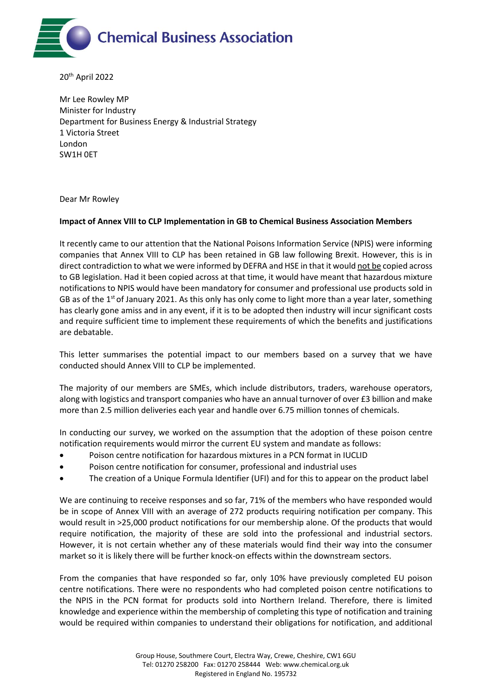

20th April 2022

Mr Lee Rowley MP Minister for Industry Department for Business Energy & Industrial Strategy 1 Victoria Street London SW1H 0ET

Dear Mr Rowley

## **Impact of Annex VIII to CLP Implementation in GB to Chemical Business Association Members**

It recently came to our attention that the National Poisons Information Service (NPIS) were informing companies that Annex VIII to CLP has been retained in GB law following Brexit. However, this is in direct contradiction to what we were informed by DEFRA and HSE in that it would not be copied across to GB legislation. Had it been copied across at that time, it would have meant that hazardous mixture notifications to NPIS would have been mandatory for consumer and professional use products sold in GB as of the 1<sup>st</sup> of January 2021. As this only has only come to light more than a year later, something has clearly gone amiss and in any event, if it is to be adopted then industry will incur significant costs and require sufficient time to implement these requirements of which the benefits and justifications are debatable.

This letter summarises the potential impact to our members based on a survey that we have conducted should Annex VIII to CLP be implemented.

The majority of our members are SMEs, which include distributors, traders, warehouse operators, along with logistics and transport companies who have an annual turnover of over £3 billion and make more than 2.5 million deliveries each year and handle over 6.75 million tonnes of chemicals.

In conducting our survey, we worked on the assumption that the adoption of these poison centre notification requirements would mirror the current EU system and mandate as follows:

- Poison centre notification for hazardous mixtures in a PCN format in IUCLID
- Poison centre notification for consumer, professional and industrial uses
- The creation of a Unique Formula Identifier (UFI) and for this to appear on the product label

We are continuing to receive responses and so far, 71% of the members who have responded would be in scope of Annex VIII with an average of 272 products requiring notification per company. This would result in >25,000 product notifications for our membership alone. Of the products that would require notification, the majority of these are sold into the professional and industrial sectors. However, it is not certain whether any of these materials would find their way into the consumer market so it is likely there will be further knock-on effects within the downstream sectors.

From the companies that have responded so far, only 10% have previously completed EU poison centre notifications. There were no respondents who had completed poison centre notifications to the NPIS in the PCN format for products sold into Northern Ireland. Therefore, there is limited knowledge and experience within the membership of completing this type of notification and training would be required within companies to understand their obligations for notification, and additional